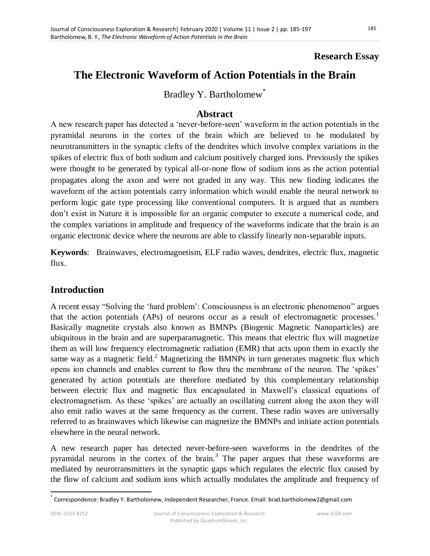## **Research Essay**

# **The Electronic Waveform of Action Potentials in the Brain**

Bradley Y. Bartholomew<sup>\*</sup>

#### **Abstract**

A new research paper has detected a 'never-before-seen' waveform in the action potentials in the pyramidal neurons in the cortex of the brain which are believed to be modulated by neurotransmitters in the synaptic clefts of the dendrites which involve complex variations in the spikes of electric flux of both sodium and calcium positively charged ions. Previously the spikes were thought to be generated by typical all-or-none flow of sodium ions as the action potential propagates along the axon and were not graded in any way. This new finding indicates the waveform of the action potentials carry information which would enable the neural network to perform logic gate type processing like conventional computers. It is argued that as numbers don't exist in Nature it is impossible for an organic computer to execute a numerical code, and the complex variations in amplitude and frequency of the waveforms indicate that the brain is an organic electronic device where the neurons are able to classify linearly non-separable inputs.

**Keywords**: Brainwaves, electromagnetism, ELF radio waves, dendrites, electric flux, magnetic flux.

## **Introduction**

A recent essay "Solving the 'hard problem': Consciousness is an electronic phenomenon" argues that the action potentials (APs) of neurons occur as a result of electromagnetic processes.<sup>1</sup> Basically magnetite crystals also known as BMNPs (Biogenic Magnetic Nanoparticles) are ubiquitous in the brain and are superparamagnetic. This means that electric flux will magnetize them as will low frequency electromagnetic radiation (EMR) that acts upon them in exactly the same way as a magnetic field.<sup>2</sup> Magnetizing the BMNPs in turn generates magnetic flux which opens ion channels and enables current to flow thru the membrane of the neuron. The 'spikes' generated by action potentials are therefore mediated by this complementary relationship between electric flux and magnetic flux encapsulated in Maxwell's classical equations of electromagnetism. As these 'spikes' are actually an oscillating current along the axon they will also emit radio waves at the same frequency as the current. These radio waves are universally referred to as brainwaves which likewise can magnetize the BMNPs and initiate action potentials elsewhere in the neural network.

A new research paper has detected never-before-seen waveforms in the dendrites of the pyramidal neurons in the cortex of the brain.<sup>3</sup> The paper argues that these waveforms are mediated by neurotransmitters in the synaptic gaps which regulates the electric flux caused by the flow of calcium and sodium ions which actually modulates the amplitude and frequency of

 $\overline{a}$ \* Correspondence: Bradley Y. Bartholomew, Independent Researcher, France. Email: brad.bartholomew2@gmail.com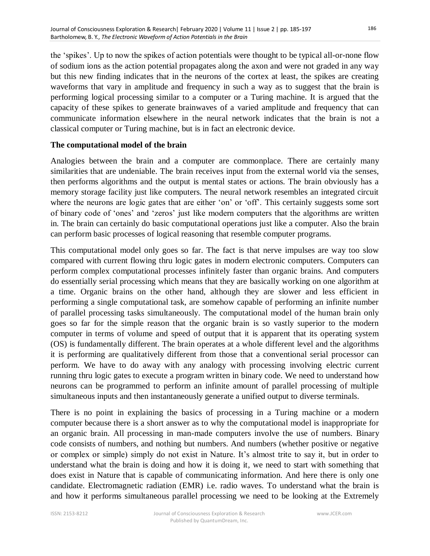the 'spikes'. Up to now the spikes of action potentials were thought to be typical all-or-none flow of sodium ions as the action potential propagates along the axon and were not graded in any way but this new finding indicates that in the neurons of the cortex at least, the spikes are creating waveforms that vary in amplitude and frequency in such a way as to suggest that the brain is performing logical processing similar to a computer or a Turing machine. It is argued that the capacity of these spikes to generate brainwaves of a varied amplitude and frequency that can communicate information elsewhere in the neural network indicates that the brain is not a classical computer or Turing machine, but is in fact an electronic device.

#### **The computational model of the brain**

Analogies between the brain and a computer are commonplace. There are certainly many similarities that are undeniable. The brain receives input from the external world via the senses, then performs algorithms and the output is mental states or actions. The brain obviously has a memory storage facility just like computers. The neural network resembles an integrated circuit where the neurons are logic gates that are either 'on' or 'off'. This certainly suggests some sort of binary code of ‗ones' and ‗zeros' just like modern computers that the algorithms are written in. The brain can certainly do basic computational operations just like a computer. Also the brain can perform basic processes of logical reasoning that resemble computer programs.

This computational model only goes so far. The fact is that nerve impulses are way too slow compared with current flowing thru logic gates in modern electronic computers. Computers can perform complex computational processes infinitely faster than organic brains. And computers do essentially serial processing which means that they are basically working on one algorithm at a time. Organic brains on the other hand, although they are slower and less efficient in performing a single computational task, are somehow capable of performing an infinite number of parallel processing tasks simultaneously. The computational model of the human brain only goes so far for the simple reason that the organic brain is so vastly superior to the modern computer in terms of volume and speed of output that it is apparent that its operating system (OS) is fundamentally different. The brain operates at a whole different level and the algorithms it is performing are qualitatively different from those that a conventional serial processor can perform. We have to do away with any analogy with processing involving electric current running thru logic gates to execute a program written in binary code. We need to understand how neurons can be programmed to perform an infinite amount of parallel processing of multiple simultaneous inputs and then instantaneously generate a unified output to diverse terminals.

There is no point in explaining the basics of processing in a Turing machine or a modern computer because there is a short answer as to why the computational model is inappropriate for an organic brain. All processing in man-made computers involve the use of numbers. Binary code consists of numbers, and nothing but numbers. And numbers (whether positive or negative or complex or simple) simply do not exist in Nature. It's almost trite to say it, but in order to understand what the brain is doing and how it is doing it, we need to start with something that does exist in Nature that is capable of communicating information. And here there is only one candidate. Electromagnetic radiation (EMR) i.e. radio waves. To understand what the brain is and how it performs simultaneous parallel processing we need to be looking at the Extremely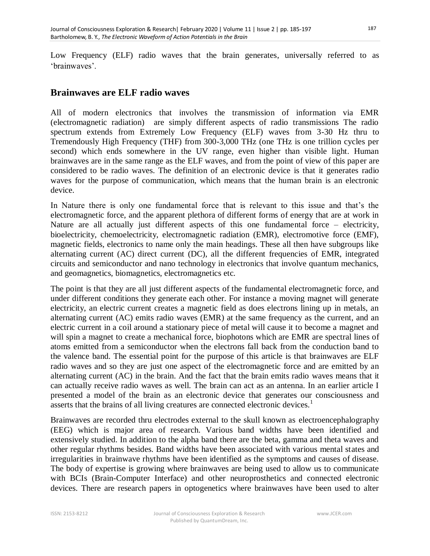Low Frequency (ELF) radio waves that the brain generates, universally referred to as ‗brainwaves'.

#### **Brainwaves are ELF radio waves**

All of modern electronics that involves the transmission of information via EMR (electromagnetic radiation) are simply different aspects of radio transmissions The radio spectrum extends from Extremely Low Frequency (ELF) waves from 3-30 Hz thru to Tremendously High Frequency (THF) from 300-3,000 THz (one THz is one trillion cycles per second) which ends somewhere in the UV range, even higher than visible light. Human brainwaves are in the same range as the ELF waves, and from the point of view of this paper are considered to be radio waves. The definition of an electronic device is that it generates radio waves for the purpose of communication, which means that the human brain is an electronic device.

In Nature there is only one fundamental force that is relevant to this issue and that's the electromagnetic force, and the apparent plethora of different forms of energy that are at work in Nature are all actually just different aspects of this one fundamental force – electricity, bioelectricity, chemoelectricity, electromagnetic radiation (EMR), electromotive force (EMF), magnetic fields, electronics to name only the main headings. These all then have subgroups like alternating current (AC) direct current (DC), all the different frequencies of EMR, integrated circuits and semiconductor and nano technology in electronics that involve quantum mechanics, and geomagnetics, biomagnetics, electromagnetics etc.

The point is that they are all just different aspects of the fundamental electromagnetic force, and under different conditions they generate each other. For instance a moving magnet will generate electricity, an electric current creates a magnetic field as does electrons lining up in metals, an alternating current (AC) emits radio waves (EMR) at the same frequency as the current, and an electric current in a coil around a stationary piece of metal will cause it to become a magnet and will spin a magnet to create a mechanical force, biophotons which are EMR are spectral lines of atoms emitted from a semiconductor when the electrons fall back from the conduction band to the valence band. The essential point for the purpose of this article is that brainwaves are ELF radio waves and so they are just one aspect of the electromagnetic force and are emitted by an alternating current (AC) in the brain. And the fact that the brain emits radio waves means that it can actually receive radio waves as well. The brain can act as an antenna. In an earlier article I presented a model of the brain as an electronic device that generates our consciousness and asserts that the brains of all living creatures are connected electronic devices.<sup>1</sup>

Brainwaves are recorded thru electrodes external to the skull known as electroencephalography (EEG) which is major area of research. Various band widths have been identified and extensively studied. In addition to the alpha band there are the beta, gamma and theta waves and other regular rhythms besides. Band widths have been associated with various mental states and irregularities in brainwave rhythms have been identified as the symptoms and causes of disease. The body of expertise is growing where brainwaves are being used to allow us to communicate with BCIs (Brain-Computer Interface) and other neuroprosthetics and connected electronic devices. There are research papers in optogenetics where brainwaves have been used to alter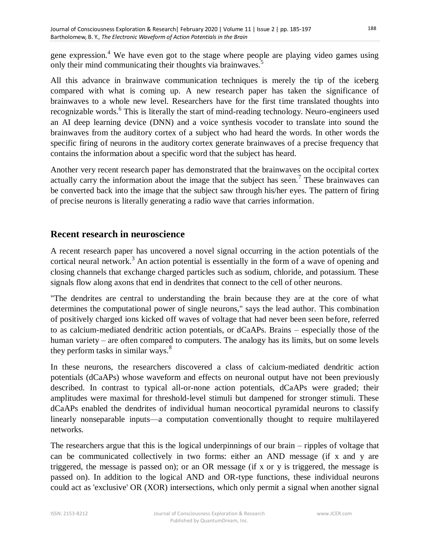gene expression.<sup>4</sup> We have even got to the stage where people are playing video games using only their mind communicating their thoughts via brainwaves.<sup>5</sup>

All this advance in brainwave communication techniques is merely the tip of the iceberg compared with what is coming up. A new research paper has taken the significance of brainwaves to a whole new level. Researchers have for the first time translated thoughts into recognizable words.<sup>6</sup> This is literally the start of mind-reading technology. Neuro-engineers used an AI deep learning device (DNN) and a voice synthesis vocoder to translate into sound the brainwaves from the auditory cortex of a subject who had heard the words. In other words the specific firing of neurons in the auditory cortex generate brainwaves of a precise frequency that contains the information about a specific word that the subject has heard.

Another very recent research paper has demonstrated that the brainwaves on the occipital cortex actually carry the information about the image that the subject has seen.<sup>7</sup> These brainwaves can be converted back into the image that the subject saw through his/her eyes. The pattern of firing of precise neurons is literally generating a radio wave that carries information.

### **Recent research in neuroscience**

A recent research paper has uncovered a novel signal occurring in the action potentials of the cortical neural network.<sup>3</sup> An action potential is essentially in the form of a wave of opening and closing channels that exchange charged particles such as sodium, chloride, and potassium. These signals flow along axons that end in dendrites that connect to the cell of other neurons.

"The dendrites are central to understanding the brain because they are at the core of what determines the computational power of single neurons," says the lead author. This combination of positively charged ions kicked off waves of voltage that had never been seen before, referred to as calcium-mediated dendritic action potentials, or dCaAPs. Brains – especially those of the human variety – are often compared to computers. The analogy has its limits, but on some levels they perform tasks in similar ways.<sup>8</sup>

In these neurons, the researchers discovered a class of calcium-mediated dendritic action potentials (dCaAPs) whose waveform and effects on neuronal output have not been previously described. In contrast to typical all-or-none action potentials, dCaAPs were graded; their amplitudes were maximal for threshold-level stimuli but dampened for stronger stimuli. These dCaAPs enabled the dendrites of individual human neocortical pyramidal neurons to classify linearly nonseparable inputs—a computation conventionally thought to require multilayered networks.

The researchers argue that this is the logical underpinnings of our brain – ripples of voltage that can be communicated collectively in two forms: either an AND message (if x and y are triggered, the message is passed on); or an OR message (if x or y is triggered, the message is passed on). In addition to the logical AND and OR-type functions, these individual neurons could act as 'exclusive' OR (XOR) intersections, which only permit a signal when another signal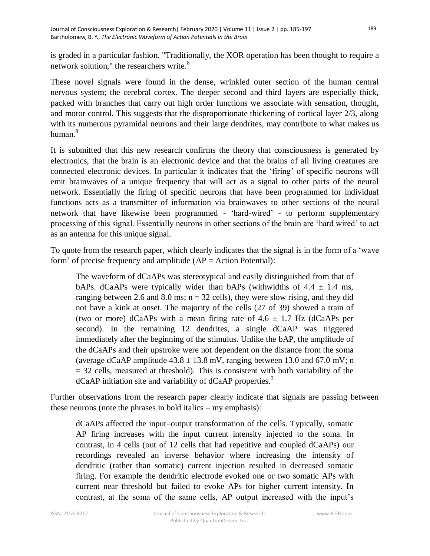is graded in a particular fashion. "Traditionally, the XOR operation has been thought to require a network solution." the researchers write. $8<sup>8</sup>$ 

These novel signals were found in the dense, wrinkled outer section of the human central nervous system; the cerebral cortex. The deeper second and third layers are especially thick, packed with branches that carry out high order functions we associate with sensation, thought, and motor control. This suggests that the disproportionate thickening of cortical layer 2/3, along with its numerous pyramidal neurons and their large dendrites, may contribute to what makes us human.<sup>8</sup>

It is submitted that this new research confirms the theory that consciousness is generated by electronics, that the brain is an electronic device and that the brains of all living creatures are connected electronic devices. In particular it indicates that the 'firing' of specific neurons will emit brainwaves of a unique frequency that will act as a signal to other parts of the neural network. Essentially the firing of specific neurons that have been programmed for individual functions acts as a transmitter of information via brainwaves to other sections of the neural network that have likewise been programmed - ‗hard-wired' - to perform supplementary processing of this signal. Essentially neurons in other sections of the brain are 'hard wired' to act as an antenna for this unique signal.

To quote from the research paper, which clearly indicates that the signal is in the form of a 'wave form' of precise frequency and amplitude  $AP = Action Potential)$ :

The waveform of dCaAPs was stereotypical and easily distinguished from that of bAPs. dCaAPs were typically wider than bAPs (withwidths of  $4.4 \pm 1.4$  ms, ranging between 2.6 and 8.0 ms;  $n = 32$  cells), they were slow rising, and they did not have a kink at onset. The majority of the cells (27 of 39) showed a train of (two or more) dCaAPs with a mean firing rate of  $4.6 \pm 1.7$  Hz (dCaAPs per second). In the remaining 12 dendrites, a single dCaAP was triggered immediately after the beginning of the stimulus. Unlike the bAP, the amplitude of the dCaAPs and their upstroke were not dependent on the distance from the soma (average dCaAP amplitude  $43.8 \pm 13.8$  mV, ranging between 13.0 and 67.0 mV; n  $=$  32 cells, measured at threshold). This is consistent with both variability of the dCaAP initiation site and variability of dCaAP properties.<sup>3</sup>

Further observations from the research paper clearly indicate that signals are passing between these neurons (note the phrases in bold italics – my emphasis):

dCaAPs affected the input–output transformation of the cells. Typically, somatic AP firing increases with the input current intensity injected to the soma. In contrast, in 4 cells (out of 12 cells that had repetitive and coupled dCaAPs) our recordings revealed an inverse behavior where increasing the intensity of dendritic (rather than somatic) current injection resulted in decreased somatic firing. For example the dendritic electrode evoked one or two somatic APs with current near threshold but failed to evoke APs for higher current intensity. In contrast, at the soma of the same cells, AP output increased with the input's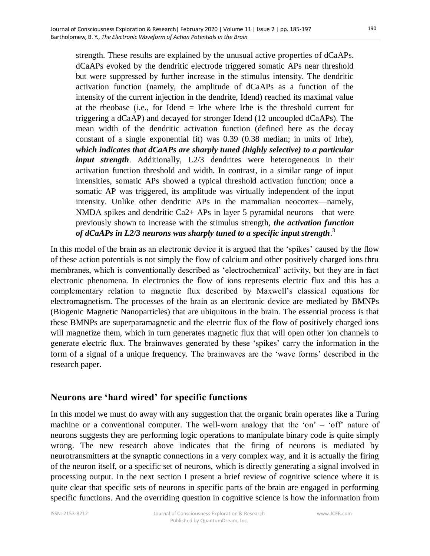strength. These results are explained by the unusual active properties of dCaAPs. dCaAPs evoked by the dendritic electrode triggered somatic APs near threshold but were suppressed by further increase in the stimulus intensity. The dendritic activation function (namely, the amplitude of dCaAPs as a function of the intensity of the current injection in the dendrite, Idend) reached its maximal value at the rheobase (i.e., for Idend = Irhe where Irhe is the threshold current for triggering a dCaAP) and decayed for stronger Idend (12 uncoupled dCaAPs). The mean width of the dendritic activation function (defined here as the decay constant of a single exponential fit) was 0.39 (0.38 median; in units of Irhe), *which indicates that dCaAPs are sharply tuned (highly selective) to a particular input strength*. Additionally, L2/3 dendrites were heterogeneous in their activation function threshold and width. In contrast, in a similar range of input intensities, somatic APs showed a typical threshold activation function; once a somatic AP was triggered, its amplitude was virtually independent of the input intensity. Unlike other dendritic APs in the mammalian neocortex—namely, NMDA spikes and dendritic Ca2+ APs in layer 5 pyramidal neurons—that were previously shown to increase with the stimulus strength, *the activation function of dCaAPs in L2/3 neurons was sharply tuned to a specific input strength*. 3

In this model of the brain as an electronic device it is argued that the 'spikes' caused by the flow of these action potentials is not simply the flow of calcium and other positively charged ions thru membranes, which is conventionally described as 'electrochemical' activity, but they are in fact electronic phenomena. In electronics the flow of ions represents electric flux and this has a complementary relation to magnetic flux described by Maxwell's classical equations for electromagnetism. The processes of the brain as an electronic device are mediated by BMNPs (Biogenic Magnetic Nanoparticles) that are ubiquitous in the brain. The essential process is that these BMNPs are superparamagnetic and the electric flux of the flow of positively charged ions will magnetize them, which in turn generates magnetic flux that will open other ion channels to generate electric flux. The brainwaves generated by these 'spikes' carry the information in the form of a signal of a unique frequency. The brainwaves are the 'wave forms' described in the research paper.

#### **Neurons are 'hard wired' for specific functions**

In this model we must do away with any suggestion that the organic brain operates like a Turing machine or a conventional computer. The well-worn analogy that the 'on' – 'off' nature of neurons suggests they are performing logic operations to manipulate binary code is quite simply wrong. The new research above indicates that the firing of neurons is mediated by neurotransmitters at the synaptic connections in a very complex way, and it is actually the firing of the neuron itself, or a specific set of neurons, which is directly generating a signal involved in processing output. In the next section I present a brief review of cognitive science where it is quite clear that specific sets of neurons in specific parts of the brain are engaged in performing specific functions. And the overriding question in cognitive science is how the information from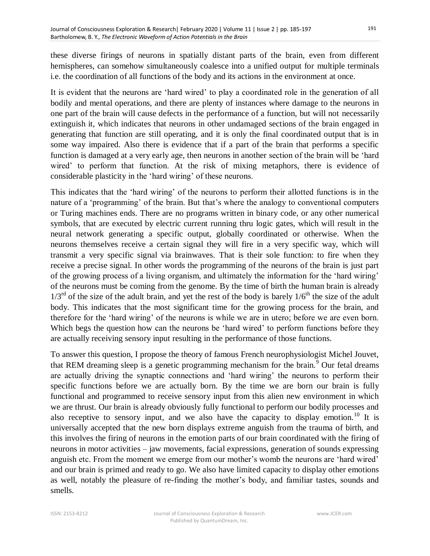these diverse firings of neurons in spatially distant parts of the brain, even from different hemispheres, can somehow simultaneously coalesce into a unified output for multiple terminals i.e. the coordination of all functions of the body and its actions in the environment at once.

It is evident that the neurons are 'hard wired' to play a coordinated role in the generation of all bodily and mental operations, and there are plenty of instances where damage to the neurons in one part of the brain will cause defects in the performance of a function, but will not necessarily extinguish it, which indicates that neurons in other undamaged sections of the brain engaged in generating that function are still operating, and it is only the final coordinated output that is in some way impaired. Also there is evidence that if a part of the brain that performs a specific function is damaged at a very early age, then neurons in another section of the brain will be 'hard wired' to perform that function. At the risk of mixing metaphors, there is evidence of considerable plasticity in the 'hard wiring' of these neurons.

This indicates that the 'hard wiring' of the neurons to perform their allotted functions is in the nature of a 'programming' of the brain. But that's where the analogy to conventional computers or Turing machines ends. There are no programs written in binary code, or any other numerical symbols, that are executed by electric current running thru logic gates, which will result in the neural network generating a specific output, globally coordinated or otherwise. When the neurons themselves receive a certain signal they will fire in a very specific way, which will transmit a very specific signal via brainwaves. That is their sole function: to fire when they receive a precise signal. In other words the programming of the neurons of the brain is just part of the growing process of a living organism, and ultimately the information for the 'hard wiring' of the neurons must be coming from the genome. By the time of birth the human brain is already  $1/3^{rd}$  of the size of the adult brain, and yet the rest of the body is barely  $1/6^{th}$  the size of the adult body. This indicates that the most significant time for the growing process for the brain, and therefore for the 'hard wiring' of the neurons is while we are in utero; before we are even born. Which begs the question how can the neurons be 'hard wired' to perform functions before they are actually receiving sensory input resulting in the performance of those functions.

To answer this question, I propose the theory of famous French neurophysiologist Michel Jouvet, that REM dreaming sleep is a genetic programming mechanism for the brain.<sup>9</sup> Our fetal dreams are actually driving the synaptic connections and 'hard wiring' the neurons to perform their specific functions before we are actually born. By the time we are born our brain is fully functional and programmed to receive sensory input from this alien new environment in which we are thrust. Our brain is already obviously fully functional to perform our bodily processes and also receptive to sensory input, and we also have the capacity to display emotion.<sup>10</sup> It is universally accepted that the new born displays extreme anguish from the trauma of birth, and this involves the firing of neurons in the emotion parts of our brain coordinated with the firing of neurons in motor activities – jaw movements, facial expressions, generation of sounds expressing anguish etc. From the moment we emerge from our mother's womb the neurons are 'hard wired' and our brain is primed and ready to go. We also have limited capacity to display other emotions as well, notably the pleasure of re-finding the mother's body, and familiar tastes, sounds and smells.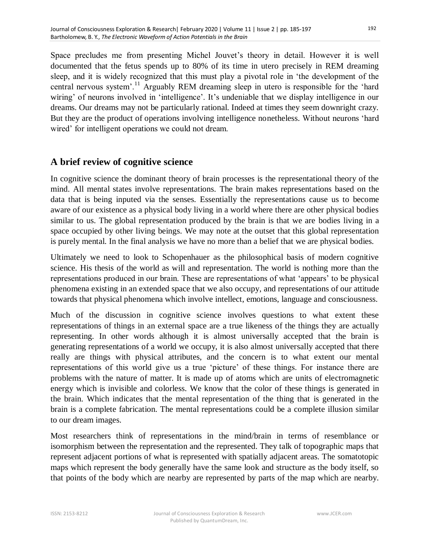Space precludes me from presenting Michel Jouvet's theory in detail. However it is well documented that the fetus spends up to 80% of its time in utero precisely in REM dreaming sleep, and it is widely recognized that this must play a pivotal role in 'the development of the central nervous system'.<sup>11</sup> Arguably REM dreaming sleep in utero is responsible for the 'hard wiring' of neurons involved in 'intelligence'. It's undeniable that we display intelligence in our dreams. Our dreams may not be particularly rational. Indeed at times they seem downright crazy. But they are the product of operations involving intelligence nonetheless. Without neurons 'hard wired' for intelligent operations we could not dream.

# **A brief review of cognitive science**

In cognitive science the dominant theory of brain processes is the representational theory of the mind. All mental states involve representations. The brain makes representations based on the data that is being inputed via the senses. Essentially the representations cause us to become aware of our existence as a physical body living in a world where there are other physical bodies similar to us. The global representation produced by the brain is that we are bodies living in a space occupied by other living beings. We may note at the outset that this global representation is purely mental. In the final analysis we have no more than a belief that we are physical bodies.

Ultimately we need to look to Schopenhauer as the philosophical basis of modern cognitive science. His thesis of the world as will and representation. The world is nothing more than the representations produced in our brain. These are representations of what 'appears' to be physical phenomena existing in an extended space that we also occupy, and representations of our attitude towards that physical phenomena which involve intellect, emotions, language and consciousness.

Much of the discussion in cognitive science involves questions to what extent these representations of things in an external space are a true likeness of the things they are actually representing. In other words although it is almost universally accepted that the brain is generating representations of a world we occupy, it is also almost universally accepted that there really are things with physical attributes, and the concern is to what extent our mental representations of this world give us a true 'picture' of these things. For instance there are problems with the nature of matter. It is made up of atoms which are units of electromagnetic energy which is invisible and colorless. We know that the color of these things is generated in the brain. Which indicates that the mental representation of the thing that is generated in the brain is a complete fabrication. The mental representations could be a complete illusion similar to our dream images.

Most researchers think of representations in the mind/brain in terms of resemblance or isomorphism between the representation and the represented. They talk of topographic maps that represent adjacent portions of what is represented with spatially adjacent areas. The somatotopic maps which represent the body generally have the same look and structure as the body itself, so that points of the body which are nearby are represented by parts of the map which are nearby.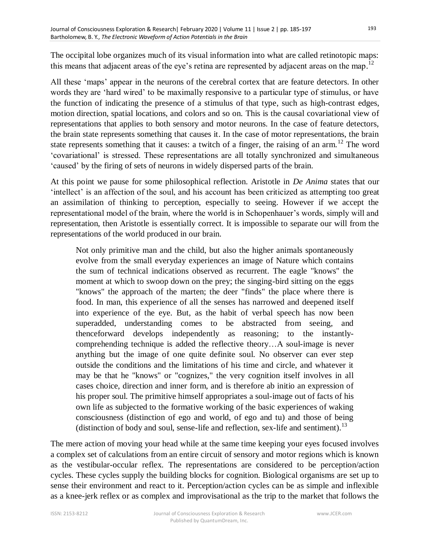The occipital lobe organizes much of its visual information into what are called retinotopic maps: this means that adjacent areas of the eye's retina are represented by adjacent areas on the map.<sup>12</sup>

All these 'maps' appear in the neurons of the cerebral cortex that are feature detectors. In other words they are 'hard wired' to be maximally responsive to a particular type of stimulus, or have the function of indicating the presence of a stimulus of that type, such as high-contrast edges, motion direction, spatial locations, and colors and so on. This is the causal covariational view of representations that applies to both sensory and motor neurons. In the case of feature detectors, the brain state represents something that causes it. In the case of motor representations, the brain state represents something that it causes: a twitch of a finger, the raising of an arm.<sup>12</sup> The word ‗covariational' is stressed. These representations are all totally synchronized and simultaneous ‗caused' by the firing of sets of neurons in widely dispersed parts of the brain.

At this point we pause for some philosophical reflection. Aristotle in *De Anima* states that our 'intellect' is an affection of the soul, and his account has been criticized as attempting too great an assimilation of thinking to perception, especially to seeing. However if we accept the representational model of the brain, where the world is in Schopenhauer's words, simply will and representation, then Aristotle is essentially correct. It is impossible to separate our will from the representations of the world produced in our brain.

Not only primitive man and the child, but also the higher animals spontaneously evolve from the small everyday experiences an image of Nature which contains the sum of technical indications observed as recurrent. The eagle "knows" the moment at which to swoop down on the prey; the singing-bird sitting on the eggs "knows" the approach of the marten; the deer "finds" the place where there is food. In man, this experience of all the senses has narrowed and deepened itself into experience of the eye. But, as the habit of verbal speech has now been superadded, understanding comes to be abstracted from seeing, and thenceforward develops independently as reasoning; to the instantlycomprehending technique is added the reflective theory…A soul-image is never anything but the image of one quite definite soul. No observer can ever step outside the conditions and the limitations of his time and circle, and whatever it may be that he "knows" or "cognizes," the very cognition itself involves in all cases choice, direction and inner form, and is therefore ab initio an expression of his proper soul. The primitive himself appropriates a soul-image out of facts of his own life as subjected to the formative working of the basic experiences of waking consciousness (distinction of ego and world, of ego and tu) and those of being (distinction of body and soul, sense-life and reflection, sex-life and sentiment).<sup>13</sup>

The mere action of moving your head while at the same time keeping your eyes focused involves a complex set of calculations from an entire circuit of sensory and motor regions which is known as the vestibular-occular reflex. The representations are considered to be perception/action cycles. These cycles supply the building blocks for cognition. Biological organisms are set up to sense their environment and react to it. Perception/action cycles can be as simple and inflexible as a knee-jerk reflex or as complex and improvisational as the trip to the market that follows the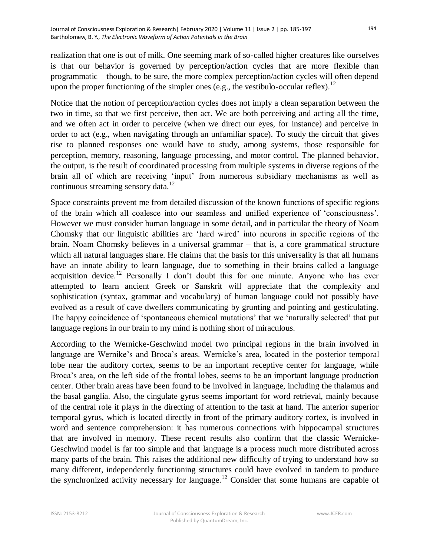realization that one is out of milk. One seeming mark of so-called higher creatures like ourselves is that our behavior is governed by perception/action cycles that are more flexible than programmatic – though, to be sure, the more complex perception/action cycles will often depend upon the proper functioning of the simpler ones (e.g., the vestibulo-occular reflex).<sup>12</sup>

Notice that the notion of perception/action cycles does not imply a clean separation between the two in time, so that we first perceive, then act. We are both perceiving and acting all the time, and we often act in order to perceive (when we direct our eyes, for instance) and perceive in order to act (e.g., when navigating through an unfamiliar space). To study the circuit that gives rise to planned responses one would have to study, among systems, those responsible for perception, memory, reasoning, language processing, and motor control. The planned behavior, the output, is the result of coordinated processing from multiple systems in diverse regions of the brain all of which are receiving 'input' from numerous subsidiary mechanisms as well as continuous streaming sensory data.<sup>12</sup>

Space constraints prevent me from detailed discussion of the known functions of specific regions of the brain which all coalesce into our seamless and unified experience of ‗consciousness'. However we must consider human language in some detail, and in particular the theory of Noam Chomsky that our linguistic abilities are ‗hard wired' into neurons in specific regions of the brain. Noam Chomsky believes in a universal grammar – that is, a core grammatical structure which all natural languages share. He claims that the basis for this universality is that all humans have an innate ability to learn language, due to something in their brains called a language acquisition device.<sup>12</sup> Personally I don't doubt this for one minute. Anyone who has ever attempted to learn ancient Greek or Sanskrit will appreciate that the complexity and sophistication (syntax, grammar and vocabulary) of human language could not possibly have evolved as a result of cave dwellers communicating by grunting and pointing and gesticulating. The happy coincidence of 'spontaneous chemical mutations' that we 'naturally selected' that put language regions in our brain to my mind is nothing short of miraculous.

According to the Wernicke-Geschwind model two principal regions in the brain involved in language are Wernike's and Broca's areas. Wernicke's area, located in the posterior temporal lobe near the auditory cortex, seems to be an important receptive center for language, while Broca's area, on the left side of the frontal lobes, seems to be an important language production center. Other brain areas have been found to be involved in language, including the thalamus and the basal ganglia. Also, the cingulate gyrus seems important for word retrieval, mainly because of the central role it plays in the directing of attention to the task at hand. The anterior superior temporal gyrus, which is located directly in front of the primary auditory cortex, is involved in word and sentence comprehension: it has numerous connections with hippocampal structures that are involved in memory. These recent results also confirm that the classic Wernicke-Geschwind model is far too simple and that language is a process much more distributed across many parts of the brain. This raises the additional new difficulty of trying to understand how so many different, independently functioning structures could have evolved in tandem to produce the synchronized activity necessary for language.<sup>12</sup> Consider that some humans are capable of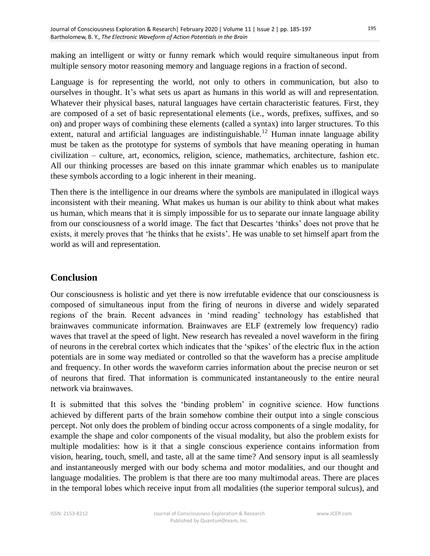making an intelligent or witty or funny remark which would require simultaneous input from multiple sensory motor reasoning memory and language regions in a fraction of second.

Language is for representing the world, not only to others in communication, but also to ourselves in thought. It's what sets us apart as humans in this world as will and representation. Whatever their physical bases, natural languages have certain characteristic features. First, they are composed of a set of basic representational elements (i.e., words, prefixes, suffixes, and so on) and proper ways of combining these elements (called a syntax) into larger structures. To this extent, natural and artificial languages are indistinguishable.<sup>12</sup> Human innate language ability must be taken as the prototype for systems of symbols that have meaning operating in human civilization – culture, art, economics, religion, science, mathematics, architecture, fashion etc. All our thinking processes are based on this innate grammar which enables us to manipulate these symbols according to a logic inherent in their meaning.

Then there is the intelligence in our dreams where the symbols are manipulated in illogical ways inconsistent with their meaning. What makes us human is our ability to think about what makes us human, which means that it is simply impossible for us to separate our innate language ability from our consciousness of a world image. The fact that Descartes ‗thinks' does not prove that he exists, it merely proves that 'he thinks that he exists'. He was unable to set himself apart from the world as will and representation.

# **Conclusion**

Our consciousness is holistic and yet there is now irrefutable evidence that our consciousness is composed of simultaneous input from the firing of neurons in diverse and widely separated regions of the brain. Recent advances in 'mind reading' technology has established that brainwaves communicate information. Brainwaves are ELF (extremely low frequency) radio waves that travel at the speed of light. New research has revealed a novel waveform in the firing of neurons in the cerebral cortex which indicates that the ‗spikes' of the electric flux in the action potentials are in some way mediated or controlled so that the waveform has a precise amplitude and frequency. In other words the waveform carries information about the precise neuron or set of neurons that fired. That information is communicated instantaneously to the entire neural network via brainwaves.

It is submitted that this solves the 'binding problem' in cognitive science. How functions achieved by different parts of the brain somehow combine their output into a single conscious percept. Not only does the problem of binding occur across components of a single modality, for example the shape and color components of the visual modality, but also the problem exists for multiple modalities: how is it that a single conscious experience contains information from vision, hearing, touch, smell, and taste, all at the same time? And sensory input is all seamlessly and instantaneously merged with our body schema and motor modalities, and our thought and language modalities. The problem is that there are too many multimodal areas. There are places in the temporal lobes which receive input from all modalities (the superior temporal sulcus), and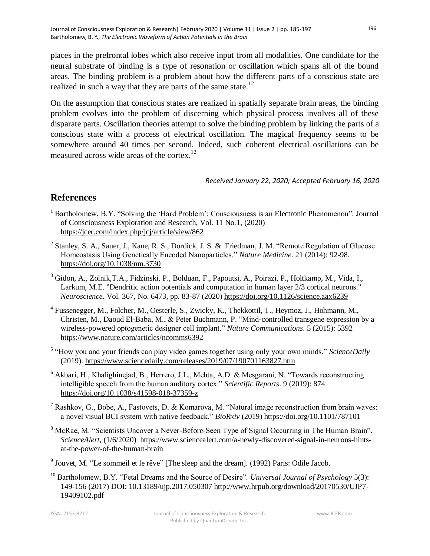places in the prefrontal lobes which also receive input from all modalities. One candidate for the neural substrate of binding is a type of resonation or oscillation which spans all of the bound areas. The binding problem is a problem about how the different parts of a conscious state are realized in such a way that they are parts of the same state.<sup>12</sup>

On the assumption that conscious states are realized in spatially separate brain areas, the binding problem evolves into the problem of discerning which physical process involves all of these disparate parts. Oscillation theories attempt to solve the binding problem by linking the parts of a conscious state with a process of electrical oscillation. The magical frequency seems to be somewhere around 40 times per second. Indeed, such coherent electrical oscillations can be measured across wide areas of the cortex.<sup>12</sup>

#### *Received January 22, 2020; Accepted February 16, 2020*

# **References**

- $<sup>1</sup>$  Bartholomew, B.Y. "Solving the 'Hard Problem': Consciousness is an Electronic Phenomenon". Journal</sup> of Consciousness Exploration and Research, Vol. 11 No.1, (2020) <https://jcer.com/index.php/jcj/article/view/862>
- <sup>2</sup> Stanley, S. A., Sauer, J., Kane, R. S., Dordick, J. S. & Friedman, J. M. "Remote Regulation of Glucose Homeostasis Using Genetically Encoded Nanoparticles." *Nature Medicine*. 21 (2014): 92-98. <https://doi.org/10.1038/nm.3730>
- <sup>3</sup> Gidon, A., Zolnik, T.A., Fidzinski, P., Bolduan, F., Papoutsi, A., Poirazi, P., Holtkamp, M., Vida, I., Larkum, M.E. "Dendritic action potentials and computation in human layer 2/3 cortical neurons." *Neuroscience*. Vol. 367, No. 6473, pp. 83-87 (2020)<https://doi.org/10.1126/science.aax6239>
- <sup>4</sup> Fussenegger, M., Folcher, M., Oesterle, S., Zwicky, K., Thekkottil, T., Heymoz, J., Hohmann, M., Christen, M., Daoud El-Baba, M., & Peter Buchmann, P. "Mind-controlled transgene expression by a wireless-powered optogenetic designer cell implant." *Nature Communications*. 5 (2015): 5392 <https://www.nature.com/articles/ncomms6392>
- <sup>5</sup> "How you and your friends can play video games together using only your own minds." ScienceDaily (2019).<https://www.sciencedaily.com/releases/2019/07/190701163827.htm>
- $6$  Akbari, H., Khalighinejad, B., Herrero, J.L., Mehta, A.D. & Mesgarani, N. "Towards reconstructing intelligible speech from the human auditory cortex.‖ *Scientific Reports*. 9 (2019): 874 <https://doi.org/10.1038/s41598-018-37359-z>
- <sup>7</sup> Rashkov, G., Bobe, A., Fastovets, D. & Komarova, M. "Natural image reconstruction from brain waves: a novel visual BCI system with native feedback." *BioRxiv* (2019)<https://doi.org/10.1101/787101>
- <sup>8</sup> McRae, M. "Scientists Uncover a Never-Before-Seen Type of Signal Occurring in The Human Brain". *ScienceAlert*, (1/6/2020) [https://www.sciencealert.com/a-newly-discovered-signal-in-neurons-hints](https://www.sciencealert.com/a-newly-discovered-signal-in-neurons-hints-at-the-power-of-the-human-brain)[at-the-power-of-the-human-brain](https://www.sciencealert.com/a-newly-discovered-signal-in-neurons-hints-at-the-power-of-the-human-brain)
- <sup>9</sup> Jouvet, M. "Le sommeil et le rêve" [The sleep and the dream]. (1992) Paris: Odile Jacob.
- <sup>10</sup> Bartholomew, B.Y. "Fetal Dreams and the Source of Desire". *Universal Journal of Psychology* 5(3): 149-156 (2017) DOI: 10.13189/ujp.2017.050307 [http://www.hrpub.org/download/20170530/UJP7-](http://www.hrpub.org/download/20170530/UJP7-19409102.pdf) [19409102.pdf](http://www.hrpub.org/download/20170530/UJP7-19409102.pdf)